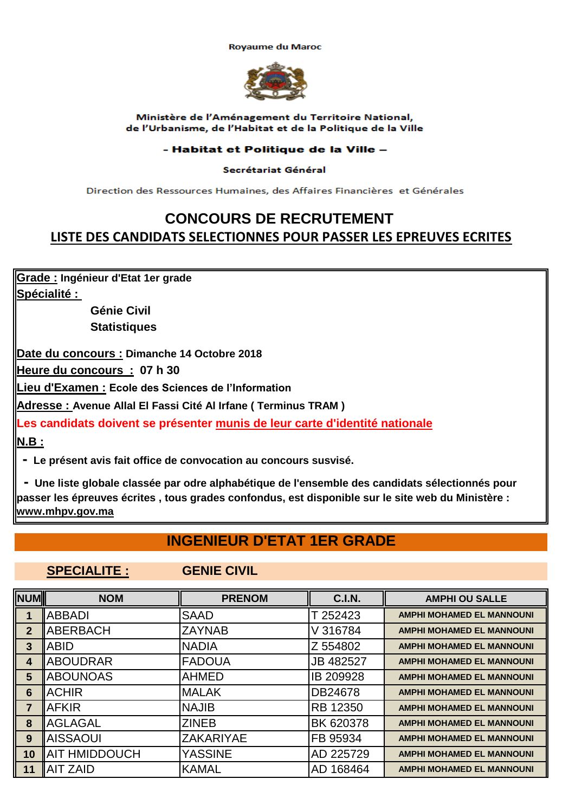**Royaume du Maroc** 



#### Ministère de l'Aménagement du Territoire National, de l'Urbanisme, de l'Habitat et de la Politique de la Ville

### - Habitat et Politique de la Ville -

### Secrétariat Général

Direction des Ressources Humaines, des Affaires Financières et Générales

# **CONCOURS DE RECRUTEMENT LISTE DES CANDIDATS SELECTIONNES POUR PASSER LES EPREUVES ECRITES**

**Grade : Ingénieur d'Etat 1er grade Spécialité :** 

> **Génie Civil Statistiques**

**Date du concours : Dimanche 14 Octobre 2018**

**Heure du concours : 07 h 30**

**Lieu d'Examen : Ecole des Sciences de l'Information**

**Adresse : Avenue Allal El Fassi Cité Al Irfane ( Terminus TRAM )** 

**N.B : Les candidats doivent se présenter munis de leur carte d'identité nationale**

 **- Le présent avis fait office de convocation au concours susvisé.**

 **- Une liste globale classée par odre alphabétique de l'ensemble des candidats sélectionnés pour passer les épreuves écrites , tous grades confondus, est disponible sur le site web du Ministère : www.mhpv.gov.ma**

# **INGENIEUR D'ETAT 1ER GRADE**

### **SPECIALITE : GENIE CIVIL**

| NUM             | <b>NOM</b>           | <b>PRENOM</b>    | <b>C.I.N.</b>   | <b>AMPHI OU SALLE</b>            |
|-----------------|----------------------|------------------|-----------------|----------------------------------|
|                 | <b>ABBADI</b>        | <b>SAAD</b>      | T 252423        | <b>AMPHI MOHAMED EL MANNOUNI</b> |
| $\overline{2}$  | <b>ABERBACH</b>      | <b>ZAYNAB</b>    | V 316784        | <b>AMPHI MOHAMED EL MANNOUNI</b> |
| 3               | <b>ABID</b>          | <b>NADIA</b>     | Z 554802        | <b>AMPHI MOHAMED EL MANNOUNI</b> |
| 4               | <b>ABOUDRAR</b>      | <b>FADOUA</b>    | JB 482527       | <b>AMPHI MOHAMED EL MANNOUNI</b> |
| 5               | <b>ABOUNOAS</b>      | <b>AHMED</b>     | IB 209928       | <b>AMPHI MOHAMED EL MANNOUNI</b> |
| $6\phantom{1}6$ | <b>ACHIR</b>         | <b>MALAK</b>     | DB24678         | <b>AMPHI MOHAMED EL MANNOUNI</b> |
| 7               | <b>AFKIR</b>         | <b>NAJIB</b>     | <b>RB 12350</b> | <b>AMPHI MOHAMED EL MANNOUNI</b> |
| 8               | <b>AGLAGAL</b>       | <b>ZINEB</b>     | BK 620378       | <b>AMPHI MOHAMED EL MANNOUNI</b> |
| 9               | <b>AISSAOUI</b>      | <b>ZAKARIYAE</b> | FB 95934        | <b>AMPHI MOHAMED EL MANNOUNI</b> |
| 10              | <b>AIT HMIDDOUCH</b> | YASSINE          | AD 225729       | <b>AMPHI MOHAMED EL MANNOUNI</b> |
| 11              | <b>AIT ZAID</b>      | <b>KAMAL</b>     | AD 168464       | <b>AMPHI MOHAMED EL MANNOUNI</b> |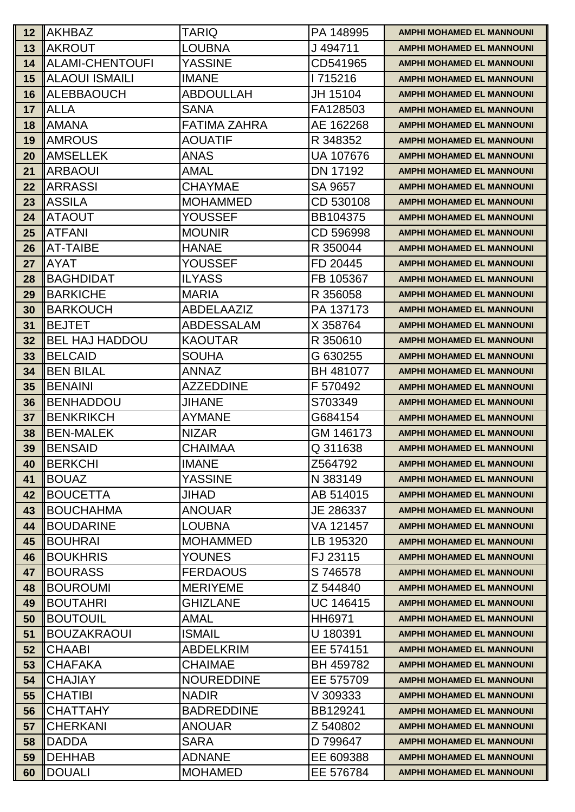| 12 <sub>2</sub> | <b>IAKHBAZ</b>                      | TARIQ                              | PA 148995                    | AMPHI MOHAMED EL MANNOUNI                                            |
|-----------------|-------------------------------------|------------------------------------|------------------------------|----------------------------------------------------------------------|
| 13              | <b>IAKROUT</b>                      | <b>LOUBNA</b>                      | J 494711                     | <b>AMPHI MOHAMED EL MANNOUNI</b>                                     |
| 14              | <b>IALAMI-CHENTOUFI</b>             | YASSINE                            | CD541965                     | <b>AMPHI MOHAMED EL MANNOUNI</b>                                     |
| 15              | <b>ALAOUI ISMAILI</b>               | <b>IMANE</b>                       | 1715216                      | <b>AMPHI MOHAMED EL MANNOUNI</b>                                     |
| 16              | <b>ALEBBAOUCH</b>                   | <b>ABDOULLAH</b>                   | JH 15104                     | <b>AMPHI MOHAMED EL MANNOUNI</b>                                     |
| 17              | <b>IALLA</b>                        | <b>SANA</b>                        | FA128503                     | <b>AMPHI MOHAMED EL MANNOUNI</b>                                     |
| 18              | <b>IAMANA</b>                       | <b>FATIMA ZAHRA</b>                | AE 162268                    | <b>AMPHI MOHAMED EL MANNOUNI</b>                                     |
| 19              | <b>AMROUS</b>                       | <b>AOUATIF</b>                     | R 348352                     | <b>AMPHI MOHAMED EL MANNOUNI</b>                                     |
| <b>20</b>       | <b>AMSELLEK</b>                     | <b>ANAS</b>                        | <b>UA 107676</b>             | <b>AMPHI MOHAMED EL MANNOUNI</b>                                     |
| 21              | <b>IARBAOUI</b>                     | AMAL                               | DN 17192                     | <b>AMPHI MOHAMED EL MANNOUNI</b>                                     |
| 22              | <b>IARRASSI</b>                     | <b>CHAYMAE</b>                     | SA 9657                      | <b>AMPHI MOHAMED EL MANNOUNI</b>                                     |
| 23              | <b>IASSILA</b>                      | <b>MOHAMMED</b>                    | CD 530108                    | <b>AMPHI MOHAMED EL MANNOUNI</b>                                     |
| 24              | <b>IATAOUT</b>                      | YOUSSEF                            | BB104375                     | <b>AMPHI MOHAMED EL MANNOUNI</b>                                     |
| 25              | <b>IATFANI</b>                      | <b>MOUNIR</b>                      | CD 596998                    | <b>AMPHI MOHAMED EL MANNOUNI</b>                                     |
| 26              | <b>IAT-TAIBE</b>                    | <b>HANAE</b>                       | R 350044                     | <b>AMPHI MOHAMED EL MANNOUNI</b>                                     |
| 27              | <b>IAYAT</b>                        | <b>YOUSSEF</b>                     | FD 20445                     | <b>AMPHI MOHAMED EL MANNOUNI</b>                                     |
| 28              | <b>IBAGHDIDAT</b>                   | <b>ILYASS</b>                      | FB 105367                    | <b>AMPHI MOHAMED EL MANNOUNI</b>                                     |
| 29              | <b>BARKICHE</b>                     | <b>MARIA</b>                       | R 356058                     | <b>AMPHI MOHAMED EL MANNOUNI</b>                                     |
| 30              | <b>IBARKOUCH</b>                    | <b>ABDELAAZIZ</b>                  | PA 137173                    | <b>AMPHI MOHAMED EL MANNOUNI</b>                                     |
| 31              | <b>IBEJTET</b>                      | <b>ABDESSALAM</b>                  | X 358764                     | <b>AMPHI MOHAMED EL MANNOUNI</b>                                     |
| 32              | <b>IBEL HAJ HADDOU</b>              | <b>KAOUTAR</b>                     | R 350610                     | <b>AMPHI MOHAMED EL MANNOUNI</b>                                     |
| 33              | <b>IBELCAID</b>                     | <b>SOUHA</b>                       | G 630255                     | <b>AMPHI MOHAMED EL MANNOUNI</b>                                     |
| 34              | <b>BEN BILAL</b>                    | <b>ANNAZ</b>                       | BH 481077                    | <b>AMPHI MOHAMED EL MANNOUNI</b>                                     |
| 35              | <b>IBENAINI</b>                     | <b>AZZEDDINE</b>                   | F 570492                     | <b>AMPHI MOHAMED EL MANNOUNI</b>                                     |
| 36              | <b>BENHADDOU</b>                    | <b>JIHANE</b>                      | S703349                      | <b>AMPHI MOHAMED EL MANNOUNI</b>                                     |
| 37              | <b>BENKRIKCH</b>                    | <b>AYMANE</b>                      | G684154                      | <b>AMPHI MOHAMED EL MANNOUNI</b>                                     |
| 38              | <b>BEN-MALEK</b>                    | <b>NIZAR</b>                       | GM 146173                    | <b>AMPHI MOHAMED EL MANNOUNI</b>                                     |
| 39              | <b>IBENSAID</b>                     | <b>CHAIMAA</b>                     | Q 311638                     | <b>AMPHI MOHAMED EL MANNOUNI</b>                                     |
| 40              | <b>BERKCHI</b>                      | <b>IMANE</b>                       | Z564792                      | <b>AMPHI MOHAMED EL MANNOUNI</b>                                     |
| 41              | <b>IBOUAZ</b>                       | <b>YASSINE</b>                     | N 383149                     | <b>AMPHI MOHAMED EL MANNOUNI</b>                                     |
| 42              | <b>BOUCETTA</b>                     | JIHAD                              | AB 514015                    | <b>AMPHI MOHAMED EL MANNOUNI</b>                                     |
| 43              | <b>I</b> BOUCHAHMA                  | <b>ANOUAR</b>                      | JE 286337                    | <b>AMPHI MOHAMED EL MANNOUNI</b>                                     |
| 44              | <b>BOUDARINE</b>                    | <b>LOUBNA</b>                      | VA 121457                    | <b>AMPHI MOHAMED EL MANNOUNI</b>                                     |
| 45              | <b>IBOUHRAI</b>                     | <b>MOHAMMED</b>                    | LB 195320                    | <b>AMPHI MOHAMED EL MANNOUNI</b>                                     |
| 46              | <b>BOUKHRIS</b>                     | <b>YOUNES</b>                      | FJ 23115                     | <b>AMPHI MOHAMED EL MANNOUNI</b>                                     |
| 47              | <b>BOURASS</b>                      | <b>FERDAOUS</b>                    | S 746578                     | <b>AMPHI MOHAMED EL MANNOUNI</b>                                     |
| 48<br>49        | <b>IBOUROUMI</b><br><b>BOUTAHRI</b> | <b>MERIYEME</b><br><b>GHIZLANE</b> | Z 544840<br><b>UC 146415</b> | <b>AMPHI MOHAMED EL MANNOUNI</b><br><b>AMPHI MOHAMED EL MANNOUNI</b> |
| 50              | <b>IBOUTOUIL</b>                    | AMAL                               | HH6971                       | <b>AMPHI MOHAMED EL MANNOUNI</b>                                     |
| 51              | <b>BOUZAKRAOUI</b>                  | ISMAIL                             | U 180391                     | <b>AMPHI MOHAMED EL MANNOUNI</b>                                     |
| 52              | <b>ICHAABI</b>                      | <b>ABDELKRIM</b>                   | EE 574151                    | <b>AMPHI MOHAMED EL MANNOUNI</b>                                     |
| 53              | <b>ICHAFAKA</b>                     | <b>CHAIMAE</b>                     | BH 459782                    | <b>AMPHI MOHAMED EL MANNOUNI</b>                                     |
| 54              | <b>ICHAJIAY</b>                     | <b>NOUREDDINE</b>                  | EE 575709                    | <b>AMPHI MOHAMED EL MANNOUNI</b>                                     |
| 55              | <b>ICHATIBI</b>                     | <b>NADIR</b>                       | V 309333                     | <b>AMPHI MOHAMED EL MANNOUNI</b>                                     |
| 56              | <b>ICHATTAHY</b>                    | <b>BADREDDINE</b>                  | BB129241                     | <b>AMPHI MOHAMED EL MANNOUNI</b>                                     |
| 57              | ICHERKANI                           | <b>ANOUAR</b>                      | Z 540802                     | <b>AMPHI MOHAMED EL MANNOUNI</b>                                     |
| 58              | <b>IDADDA</b>                       | <b>SARA</b>                        | D 799647                     | <b>AMPHI MOHAMED EL MANNOUNI</b>                                     |
| 59              | <b>IDEHHAB</b>                      | <b>ADNANE</b>                      | EE 609388                    | <b>AMPHI MOHAMED EL MANNOUNI</b>                                     |
| 60              | <b>IDOUALI</b>                      | <b>MOHAMED</b>                     | EE 576784                    | <b>AMPHI MOHAMED EL MANNOUNI</b>                                     |
|                 |                                     |                                    |                              |                                                                      |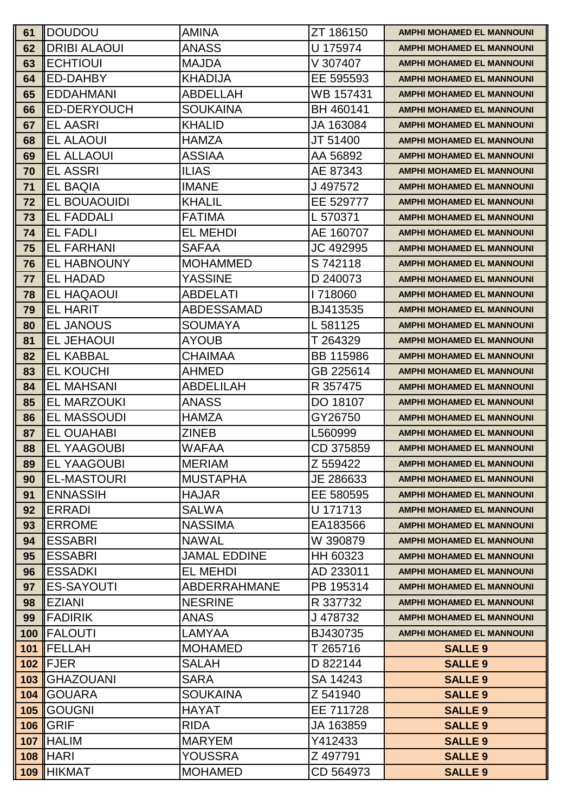| 61 | <b>IDOUDOU</b>       | <b>AMINA</b>        | ZT 186150 | AMPHI MOHAMED EL MANNOUNI        |
|----|----------------------|---------------------|-----------|----------------------------------|
| 62 | <b>DRIBI ALAOUI</b>  | <b>ANASS</b>        | U 175974  | <b>AMPHI MOHAMED EL MANNOUNI</b> |
| 63 | <b>ECHTIOUI</b>      | <b>MAJDA</b>        | V 307407  | <b>AMPHI MOHAMED EL MANNOUNI</b> |
| 64 | ED-DAHBY             | <b>KHADIJA</b>      | EE 595593 | <b>AMPHI MOHAMED EL MANNOUNI</b> |
| 65 | <b>EDDAHMANI</b>     | <b>ABDELLAH</b>     | WB 157431 | <b>AMPHI MOHAMED EL MANNOUNI</b> |
| 66 | ED-DERYOUCH          | <b>SOUKAINA</b>     | BH 460141 | <b>AMPHI MOHAMED EL MANNOUNI</b> |
| 67 | <b>EL AASRI</b>      | <b>KHALID</b>       | JA 163084 | <b>AMPHI MOHAMED EL MANNOUNI</b> |
| 68 | <b>EL ALAOUI</b>     | <b>HAMZA</b>        | JT 51400  | <b>AMPHI MOHAMED EL MANNOUNI</b> |
| 69 | <b>EL ALLAOUI</b>    | <b>ASSIAA</b>       | AA 56892  | <b>AMPHI MOHAMED EL MANNOUNI</b> |
| 70 | <b>EL ASSRI</b>      | <b>ILIAS</b>        | AE 87343  | <b>AMPHI MOHAMED EL MANNOUNI</b> |
| 71 | <b>EL BAQIA</b>      | <b>IMANE</b>        | J 497572  | <b>AMPHI MOHAMED EL MANNOUNI</b> |
| 72 | EL BOUAOUIDI         | <b>KHALIL</b>       | EE 529777 | <b>AMPHI MOHAMED EL MANNOUNI</b> |
| 73 | <b>EL FADDALI</b>    | <b>FATIMA</b>       | L 570371  | <b>AMPHI MOHAMED EL MANNOUNI</b> |
| 74 | <b>EL FADLI</b>      | <b>EL MEHDI</b>     | AE 160707 | <b>AMPHI MOHAMED EL MANNOUNI</b> |
| 75 | <b>EL FARHANI</b>    | <b>SAFAA</b>        | JC 492995 | <b>AMPHI MOHAMED EL MANNOUNI</b> |
| 76 | <b>EL HABNOUNY</b>   | <b>MOHAMMED</b>     | S 742118  | <b>AMPHI MOHAMED EL MANNOUNI</b> |
| 77 | <b>EL HADAD</b>      | <b>YASSINE</b>      | D 240073  | <b>AMPHI MOHAMED EL MANNOUNI</b> |
| 78 | <b>EL HAQAOUI</b>    | <b>ABDELATI</b>     | I 718060  | <b>AMPHI MOHAMED EL MANNOUNI</b> |
| 79 | <b>EL HARIT</b>      | <b>ABDESSAMAD</b>   | BJ413535  | <b>AMPHI MOHAMED EL MANNOUNI</b> |
| 80 | <b>EL JANOUS</b>     | <b>SOUMAYA</b>      | L 581125  | <b>AMPHI MOHAMED EL MANNOUNI</b> |
| 81 | <b>EL JEHAOUI</b>    | <b>AYOUB</b>        | T 264329  | <b>AMPHI MOHAMED EL MANNOUNI</b> |
| 82 | <b>EL KABBAL</b>     | <b>CHAIMAA</b>      | BB 115986 | <b>AMPHI MOHAMED EL MANNOUNI</b> |
| 83 | <b>EL KOUCHI</b>     | <b>AHMED</b>        | GB 225614 | <b>AMPHI MOHAMED EL MANNOUNI</b> |
| 84 | <b>EL MAHSANI</b>    | <b>ABDELILAH</b>    | R 357475  | <b>AMPHI MOHAMED EL MANNOUNI</b> |
| 85 | <b>EL MARZOUKI</b>   | <b>ANASS</b>        | DO 18107  | <b>AMPHI MOHAMED EL MANNOUNI</b> |
| 86 | EL MASSOUDI          | <b>HAMZA</b>        | GY26750   | <b>AMPHI MOHAMED EL MANNOUNI</b> |
| 87 | <b>EL OUAHABI</b>    | <b>ZINEB</b>        | L560999   | <b>AMPHI MOHAMED EL MANNOUNI</b> |
| 88 | <b>EL YAAGOUBI</b>   | WAFAA               | CD 375859 | <b>AMPHI MOHAMED EL MANNOUNI</b> |
| 89 | <b>IEL YAAGOUBI</b>  | <b>MERIAM</b>       | Z 559422  | <b>AMPHI MOHAMED EL MANNOUNI</b> |
| 90 | IEL-MASTOURI         | <b>MUSTAPHA</b>     | JE 286633 | <b>AMPHI MOHAMED EL MANNOUNI</b> |
| 91 | IENNASSIH            | <b>HAJAR</b>        | EE 580595 | <b>AMPHI MOHAMED EL MANNOUNI</b> |
| 92 | <b>ERRADI</b>        | <b>SALWA</b>        | U 171713  | <b>AMPHI MOHAMED EL MANNOUNI</b> |
| 93 | <b>IERROME</b>       | <b>NASSIMA</b>      | EA183566  | <b>AMPHI MOHAMED EL MANNOUNI</b> |
| 94 | <b>IESSABRI</b>      | <b>NAWAL</b>        | W 390879  | <b>AMPHI MOHAMED EL MANNOUNI</b> |
| 95 | <b>IESSABRI</b>      | <b>JAMAL EDDINE</b> | HH 60323  | <b>AMPHI MOHAMED EL MANNOUNI</b> |
| 96 | <b>IESSADKI</b>      | <b>EL MEHDI</b>     | AD 233011 | <b>AMPHI MOHAMED EL MANNOUNI</b> |
| 97 | <b>IES-SAYOUTI</b>   | <b>ABDERRAHMANE</b> | PB 195314 | <b>AMPHI MOHAMED EL MANNOUNI</b> |
| 98 | <b>IEZIANI</b>       | <b>NESRINE</b>      | R 337732  | <b>AMPHI MOHAMED EL MANNOUNI</b> |
| 99 | <b>IFADIRIK</b>      | <b>ANAS</b>         | J 478732  | <b>AMPHI MOHAMED EL MANNOUNI</b> |
|    | 100   FALOUTI        | LAMYAA              | BJ430735  | <b>AMPHI MOHAMED EL MANNOUNI</b> |
|    | 101 <b>IFELLAH</b>   | <b>MOHAMED</b>      | T 265716  | <b>SALLE 9</b>                   |
|    | $102$ FJER           | <b>SALAH</b>        | D 822144  | <b>SALLE 9</b>                   |
|    | <b>103 GHAZOUANI</b> | <b>SARA</b>         | SA 14243  | <b>SALLE 9</b>                   |
|    | <b>104 GOUARA</b>    | <b>SOUKAINA</b>     | Z 541940  | <b>SALLE 9</b>                   |
|    | <b>105   GOUGNI</b>  | <b>HAYAT</b>        | EE 711728 | <b>SALLE 9</b>                   |
|    | <b>106 GRIF</b>      | <b>RIDA</b>         | JA 163859 | <b>SALLE 9</b>                   |
|    | 107 HALIM            | <b>MARYEM</b>       | Y412433   | <b>SALLE 9</b>                   |
|    | <b>108 HARI</b>      | YOUSSRA             | Z 497791  | <b>SALLE 9</b>                   |
|    | 109 HIKMAT           | <b>MOHAMED</b>      | CD 564973 | <b>SALLE 9</b>                   |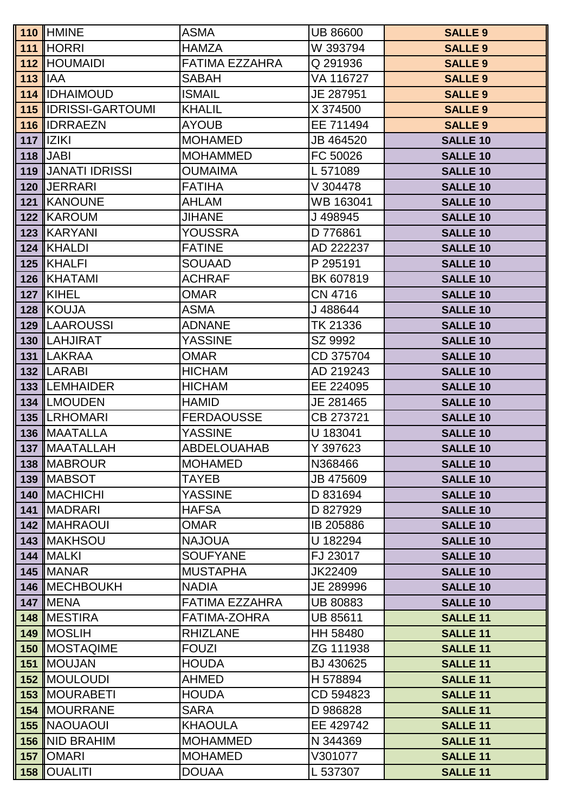|            | <b>110 HMINE</b>                    | <b>ASMA</b>                           | <b>UB 86600</b>              | <b>SALLE 9</b>                     |
|------------|-------------------------------------|---------------------------------------|------------------------------|------------------------------------|
|            | 111 HORRI                           | <b>HAMZA</b>                          | W 393794                     | <b>SALLE 9</b>                     |
|            | <b>112 HOUMAIDI</b>                 | FATIMA EZZAHRA                        | Q 291936                     | <b>SALLE 9</b>                     |
| $113$  IAA |                                     | <b>SABAH</b>                          | VA 116727                    | <b>SALLE 9</b>                     |
|            | <b>114 IDHAIMOUD</b>                | <b>ISMAIL</b>                         | JE 287951                    | <b>SALLE 9</b>                     |
|            | <b>115 IDRISSI-GARTOUMI</b>         | <b>KHALIL</b>                         | X 374500                     | <b>SALLE 9</b>                     |
|            | 116 IDRRAEZN                        | <b>AYOUB</b>                          | EE 711494                    | <b>SALLE 9</b>                     |
|            | $117$    $ Z K $                    | <b>MOHAMED</b>                        | JB 464520                    | <b>SALLE 10</b>                    |
|            | $118$ JABI                          | <b>MOHAMMED</b>                       | FC 50026                     | <b>SALLE 10</b>                    |
|            | 119 JJANATI IDRISSI                 | <b>OUMAIMA</b>                        | L 571089                     | <b>SALLE 10</b>                    |
|            | 120 JERRARI                         | <b>FATIHA</b>                         | V 304478                     | <b>SALLE 10</b>                    |
|            | 121 KANOUNE                         | <b>AHLAM</b>                          | WB 163041                    | <b>SALLE 10</b>                    |
|            | 122 KAROUM                          | <b>JIHANE</b>                         | J498945                      | <b>SALLE 10</b>                    |
|            | 123 KARYANI                         | <b>YOUSSRA</b>                        | D 776861                     | <b>SALLE 10</b>                    |
|            | 124 KHALDI                          | <b>FATINE</b>                         | AD 222237                    | <b>SALLE 10</b>                    |
|            | 125 KHALFI                          | <b>SOUAAD</b>                         | P 295191                     | <b>SALLE 10</b>                    |
|            | 126 KHATAMI                         | <b>ACHRAF</b>                         | BK 607819                    | <b>SALLE 10</b>                    |
|            | <b>127 KIHEL</b>                    | <b>OMAR</b>                           | <b>CN 4716</b>               | <b>SALLE 10</b>                    |
|            | 128 KOUJA                           | <b>ASMA</b>                           | J488644                      | <b>SALLE 10</b>                    |
|            | <b>129 ILAAROUSSI</b>               | <b>ADNANE</b>                         | TK 21336                     | <b>SALLE 10</b>                    |
|            | 130   LAHJIRAT                      | <b>YASSINE</b>                        | SZ 9992                      | <b>SALLE 10</b>                    |
|            | 131  LAKRAA                         | <b>OMAR</b>                           | CD 375704                    | <b>SALLE 10</b>                    |
|            | 132   LARABI                        | <b>HICHAM</b>                         | AD 219243                    | <b>SALLE 10</b>                    |
|            | <b>133 ILEMHAIDER</b>               | <b>HICHAM</b>                         | EE 224095                    | <b>SALLE 10</b>                    |
|            | 134  LMOUDEN                        | <b>HAMID</b>                          | JE 281465                    | <b>SALLE 10</b>                    |
|            | <b>135 ILRHOMARI</b>                | <b>FERDAOUSSE</b>                     | CB 273721                    | <b>SALLE 10</b>                    |
|            | 136   MAATALLA                      | <b>YASSINE</b>                        | U 183041                     | <b>SALLE 10</b>                    |
|            | <b>137   MAATALLAH</b>              | <b>ABDELOUAHAB</b>                    | Y 397623                     | <b>SALLE 10</b>                    |
|            | 138   MABROUR                       | <b>MOHAMED</b>                        | N368466                      | <b>SALLE 10</b>                    |
|            | 139   MABSOT                        | <b>TAYEB</b>                          | JB 475609                    | <b>SALLE 10</b>                    |
|            | <b>140 IMACHICHI</b>                | <b>YASSINE</b>                        | D 831694                     | <b>SALLE 10</b>                    |
|            | 141 MADRARI                         | <b>HAFSA</b>                          | D 827929                     | <b>SALLE 10</b>                    |
|            | <b>142 IMAHRAOUI</b>                | <b>OMAR</b>                           | IB 205886                    | <b>SALLE 10</b>                    |
|            | <b>143 IMAKHSOU</b>                 | <b>NAJOUA</b>                         | U 182294                     | <b>SALLE 10</b>                    |
|            | 144   MALKI                         | <b>SOUFYANE</b><br><b>MUSTAPHA</b>    | FJ 23017<br>JK22409          | <b>SALLE 10</b>                    |
|            | <b>145   MANAR</b><br>146 MECHBOUKH |                                       |                              | <b>SALLE 10</b>                    |
|            | <b>147 IMENA</b>                    | <b>NADIA</b><br><b>FATIMA EZZAHRA</b> | JE 289996<br><b>UB 80883</b> | <b>SALLE 10</b><br><b>SALLE 10</b> |
|            | 148 MESTIRA                         | <b>FATIMA-ZOHRA</b>                   | <b>UB 85611</b>              | <b>SALLE 11</b>                    |
|            | 149 MOSLIH                          | <b>RHIZLANE</b>                       | HH 58480                     | <b>SALLE 11</b>                    |
|            | 150   MOSTAQIME                     | <b>FOUZI</b>                          | ZG 111938                    | <b>SALLE 11</b>                    |
|            | <b>151   MOUJAN</b>                 | <b>HOUDA</b>                          | BJ 430625                    | <b>SALLE 11</b>                    |
|            | <b>152 MOULOUDI</b>                 | <b>AHMED</b>                          | H 578894                     | <b>SALLE 11</b>                    |
|            | 153   MOURABETI                     | <b>HOUDA</b>                          | CD 594823                    | <b>SALLE 11</b>                    |
|            | 154  MOURRANE                       | <b>SARA</b>                           | D 986828                     | <b>SALLE 11</b>                    |
|            | <b>155 NAOUAOUI</b>                 | <b>KHAOULA</b>                        | EE 429742                    | <b>SALLE 11</b>                    |
|            | 156   NID BRAHIM                    | <b>MOHAMMED</b>                       | N 344369                     | <b>SALLE 11</b>                    |
|            | 157   OMARI                         | <b>MOHAMED</b>                        | V301077                      | <b>SALLE 11</b>                    |
|            | <b>158 OUALITI</b>                  | <b>DOUAA</b>                          | L 537307                     | <b>SALLE 11</b>                    |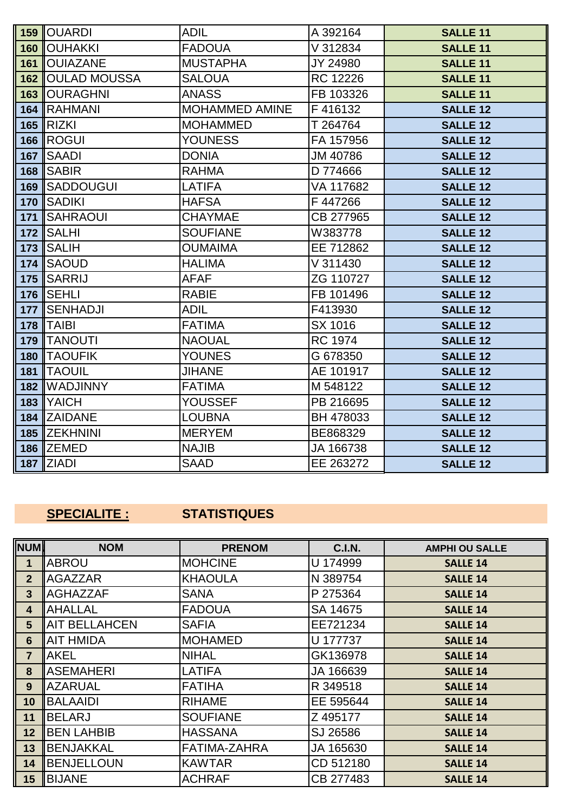|     | <b>159 OUARDI</b>       | <b>ADIL</b>           | A 392164       | <b>SALLE 11</b> |
|-----|-------------------------|-----------------------|----------------|-----------------|
|     | <b>160   OUHAKKI</b>    | <b>FADOUA</b>         | V 312834       | <b>SALLE 11</b> |
|     | <b>161   OUIAZANE</b>   | <b>MUSTAPHA</b>       | JY 24980       | <b>SALLE 11</b> |
|     | <b>162 OULAD MOUSSA</b> | <b>SALOUA</b>         | RC 12226       | <b>SALLE 11</b> |
|     | <b>163   OURAGHNI</b>   | <b>ANASS</b>          | FB 103326      | <b>SALLE 11</b> |
|     | 164 RAHMANI             | <b>MOHAMMED AMINE</b> | F416132        | <b>SALLE 12</b> |
|     | $165$ RIZKI             | <b>MOHAMMED</b>       | T 264764       | <b>SALLE 12</b> |
|     | <b>166   ROGUI</b>      | <b>YOUNESS</b>        | FA 157956      | <b>SALLE 12</b> |
|     | 167 SAADI               | <b>DONIA</b>          | JM 40786       | <b>SALLE 12</b> |
|     | 168 SABIR               | <b>RAHMA</b>          | D 774666       | <b>SALLE 12</b> |
|     | 169 SADDOUGUI           | <b>LATIFA</b>         | VA 117682      | <b>SALLE 12</b> |
|     | 170 SADIKI              | <b>HAFSA</b>          | F447266        | <b>SALLE 12</b> |
|     | <b>171 SAHRAOUI</b>     | <b>CHAYMAE</b>        | CB 277965      | <b>SALLE 12</b> |
|     | <b>172 SALHI</b>        | <b>SOUFIANE</b>       | W383778        | <b>SALLE 12</b> |
|     | 173 $\parallel$ SALIH   | <b>OUMAIMA</b>        | EE 712862      | <b>SALLE 12</b> |
|     | <b>174 ISAOUD</b>       | <b>HALIMA</b>         | V 311430       | <b>SALLE 12</b> |
|     | <b>175 SARRIJ</b>       | <b>AFAF</b>           | ZG 110727      | <b>SALLE 12</b> |
|     | <b>176 SEHLI</b>        | <b>RABIE</b>          | FB 101496      | <b>SALLE 12</b> |
|     | 177 SENHADJI            | <b>ADIL</b>           | F413930        | <b>SALLE 12</b> |
|     | 178   TAIBI             | <b>FATIMA</b>         | SX 1016        | <b>SALLE 12</b> |
|     | 179   TANOUTI           | <b>NAOUAL</b>         | <b>RC 1974</b> | <b>SALLE 12</b> |
|     | 180 TAOUFIK             | <b>YOUNES</b>         | G 678350       | <b>SALLE 12</b> |
| 181 | <b>ITAOUIL</b>          | <b>JIHANE</b>         | AE 101917      | <b>SALLE 12</b> |
|     | <b>182 WADJINNY</b>     | <b>FATIMA</b>         | M 548122       | <b>SALLE 12</b> |
|     | 183 YAICH               | YOUSSEF               | PB 216695      | <b>SALLE 12</b> |
|     | 184 ZAIDANE             | <b>LOUBNA</b>         | BH 478033      | <b>SALLE 12</b> |
|     | 185 ZEKHNINI            | <b>MERYEM</b>         | BE868329       | <b>SALLE 12</b> |
|     | 186 ZEMED               | <b>NAJIB</b>          | JA 166738      | <b>SALLE 12</b> |
|     | $187$ ZIADI             | <b>SAAD</b>           | EE 263272      | <b>SALLE 12</b> |

# **SPECIALITE : STATISTIQUES**

| <b>NUM</b>      | <b>NOM</b>            | <b>PRENOM</b>   | <b>C.I.N.</b> | <b>AMPHI OU SALLE</b> |
|-----------------|-----------------------|-----------------|---------------|-----------------------|
| $\mathbf{1}$    | <b>ABROU</b>          | <b>MOHCINE</b>  | U 174999      | <b>SALLE 14</b>       |
| $\overline{2}$  | <b>IAGAZZAR</b>       | <b>KHAOULA</b>  | N 389754      | <b>SALLE 14</b>       |
| $\overline{3}$  | <b>AGHAZZAF</b>       | <b>SANA</b>     | P 275364      | <b>SALLE 14</b>       |
| 4               | <b>AHALLAL</b>        | <b>FADOUA</b>   | SA 14675      | <b>SALLE 14</b>       |
| $5\phantom{.}$  | <b>IAIT BELLAHCEN</b> | <b>SAFIA</b>    | EE721234      | <b>SALLE 14</b>       |
| 6               | <b>AIT HMIDA</b>      | <b>MOHAMED</b>  | U 177737      | <b>SALLE 14</b>       |
| $\overline{7}$  | <b>AKEL</b>           | <b>NIHAL</b>    | GK136978      | <b>SALLE 14</b>       |
| 8               | <b>ASEMAHERI</b>      | <b>LATIFA</b>   | JA 166639     | <b>SALLE 14</b>       |
| 9               | <b>AZARUAL</b>        | <b>FATIHA</b>   | R 349518      | <b>SALLE 14</b>       |
| 10 <sub>1</sub> | <b>BALAAIDI</b>       | <b>RIHAME</b>   | EE 595644     | <b>SALLE 14</b>       |
| 11              | <b>BELARJ</b>         | <b>SOUFIANE</b> | Z 495177      | <b>SALLE 14</b>       |
| 12              | <b>BEN LAHBIB</b>     | <b>HASSANA</b>  | SJ 26586      | <b>SALLE 14</b>       |
| 13              | <b>IBENJAKKAL</b>     | FATIMA-ZAHRA    | JA 165630     | <b>SALLE 14</b>       |
| 14              | <b>BENJELLOUN</b>     | <b>KAWTAR</b>   | CD 512180     | <b>SALLE 14</b>       |
| 15              | <b>IBIJANE</b>        | <b>ACHRAF</b>   | CB 277483     | <b>SALLE 14</b>       |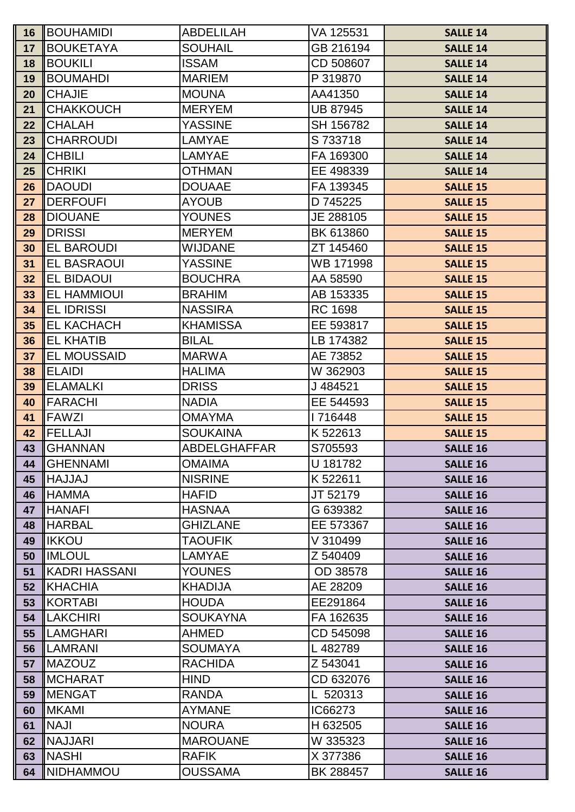|                 | <b>16  BOUHAMIDI</b>                 | ABDELILAH                       | VA 125531              | <b>SALLE 14</b>                    |
|-----------------|--------------------------------------|---------------------------------|------------------------|------------------------------------|
| 17              | <b>BOUKETAYA</b>                     | <b>SOUHAIL</b>                  | GB 216194              | <b>SALLE 14</b>                    |
| 18              | <b>BOUKILI</b>                       | <b>ISSAM</b>                    | CD 508607              | <b>SALLE 14</b>                    |
| 19              | <b>BOUMAHDI</b>                      | <b>MARIEM</b>                   | P 319870               | <b>SALLE 14</b>                    |
| 20              | <b>ICHAJIE</b>                       | <b>MOUNA</b>                    | AA41350                | <b>SALLE 14</b>                    |
| 21              | <b>CHAKKOUCH</b>                     | <b>MERYEM</b>                   | <b>UB 87945</b>        | <b>SALLE 14</b>                    |
| 22              | <b>ICHALAH</b>                       | <b>YASSINE</b>                  | SH 156782              | <b>SALLE 14</b>                    |
| 23              | <b>CHARROUDI</b>                     | <b>LAMYAE</b>                   | S 733718               | <b>SALLE 14</b>                    |
| 24              | <b>ICHBILI</b>                       | <b>LAMYAE</b>                   | FA 169300              | <b>SALLE 14</b>                    |
| 25              | <b>ICHRIKI</b>                       | <b>OTHMAN</b>                   | EE 498339              | <b>SALLE 14</b>                    |
| 26              | <b>IDAOUDI</b>                       | <b>DOUAAE</b>                   | FA 139345              | <b>SALLE 15</b>                    |
| 27              | <b>IDERFOUFI</b>                     | <b>AYOUB</b>                    | D 745225               | <b>SALLE 15</b>                    |
| 28              | <b>IDIOUANE</b>                      | <b>YOUNES</b>                   | JE 288105              | <b>SALLE 15</b>                    |
| 29              | <b>IDRISSI</b>                       | <b>MERYEM</b>                   | BK 613860              | <b>SALLE 15</b>                    |
| 30              | <b>EL BAROUDI</b>                    | <b>WIJDANE</b>                  | ZT 145460              | <b>SALLE 15</b>                    |
| 31              | <b>IEL BASRAOUI</b>                  | <b>YASSINE</b>                  | WB 171998              | <b>SALLE 15</b>                    |
| 32              | <b>EL BIDAOUI</b>                    | <b>BOUCHRA</b>                  | AA 58590               | <b>SALLE 15</b>                    |
| 33              | <b>IEL HAMMIOUI</b>                  | <b>BRAHIM</b>                   | AB 153335              | <b>SALLE 15</b>                    |
| 34              | <b>IEL IDRISSI</b>                   | <b>NASSIRA</b>                  | <b>RC 1698</b>         | <b>SALLE 15</b>                    |
| 35 <sub>5</sub> | <b>EL KACHACH</b>                    | <b>KHAMISSA</b>                 | EE 593817              | <b>SALLE 15</b>                    |
| 36              | <b>IEL KHATIB</b>                    | <b>BILAL</b>                    | LB 174382              | <b>SALLE 15</b>                    |
| 37              | <b>IEL MOUSSAID</b>                  | <b>MARWA</b>                    | AE 73852               | <b>SALLE 15</b>                    |
| 38              | <b>IELAIDI</b>                       | <b>HALIMA</b>                   | W 362903               | <b>SALLE 15</b>                    |
| 39              | <b>IELAMALKI</b>                     | <b>DRISS</b>                    | J484521                | <b>SALLE 15</b>                    |
| 40              | <b>IFARACHI</b>                      | <b>NADIA</b>                    | EE 544593              | <b>SALLE 15</b>                    |
| 41              | <b>IFAWZI</b>                        | <b>OMAYMA</b>                   | 1716448                | <b>SALLE 15</b>                    |
| 42              | <b>IFELLAJI</b>                      | <b>SOUKAINA</b>                 | K 522613               | <b>SALLE 15</b>                    |
| 43              | <b>I</b> GHANNAN                     | ABDELGHAFFAR                    | S705593                | <b>SALLE 16</b>                    |
|                 | 44   GHENNAMI                        | <b>OMAIMA</b>                   | U 181782               | <b>SALLE 16</b>                    |
| 45              | <b>LAULAHI</b>                       | <b>NISRINE</b>                  | K 522611               | <b>SALLE 16</b>                    |
| 46              | <b>IHAMMA</b>                        | <b>HAFID</b>                    | JT 52179               | <b>SALLE 16</b>                    |
| 47              | <b>IHANAFI</b>                       | <b>HASNAA</b>                   | G 639382               | <b>SALLE 16</b>                    |
| 48              | <b>IHARBAL</b>                       | <b>GHIZLANE</b>                 | EE 573367              | <b>SALLE 16</b>                    |
| 49              | <b>IIKKOU</b>                        | <b>TAOUFIK</b>                  | V 310499               | <b>SALLE 16</b>                    |
| 50              | <b>IIMLOUL</b>                       | <b>LAMYAE</b>                   | Z 540409               | <b>SALLE 16</b>                    |
| 51              | <b>KADRI HASSANI</b>                 | <b>YOUNES</b>                   | OD 38578               | <b>SALLE 16</b>                    |
| 52              | <b>IKHACHIA</b>                      | <b>KHADIJA</b>                  | AE 28209               | <b>SALLE 16</b>                    |
| 53              | <b>KORTABI</b>                       | <b>HOUDA</b><br><b>SOUKAYNA</b> | EE291864               | <b>SALLE 16</b>                    |
| 54<br>55        | <b>ILAKCHIRI</b><br><b>ILAMGHARI</b> | <b>AHMED</b>                    | FA 162635<br>CD 545098 | <b>SALLE 16</b>                    |
| 56              | <b>ILAMRANI</b>                      | <b>SOUMAYA</b>                  | L482789                | <b>SALLE 16</b>                    |
|                 | <b>IMAZOUZ</b>                       | <b>RACHIDA</b>                  | Z 543041               | <b>SALLE 16</b>                    |
| 57<br>58        | <b>IMCHARAT</b>                      | <b>HIND</b>                     | CD 632076              | <b>SALLE 16</b><br><b>SALLE 16</b> |
| 59              | <b>IMENGAT</b>                       | <b>RANDA</b>                    | L 520313               | <b>SALLE 16</b>                    |
| 60              | <b>IMKAMI</b>                        | <b>AYMANE</b>                   | IC66273                | <b>SALLE 16</b>                    |
| 61              | <b>INAJI</b>                         | <b>NOURA</b>                    | H 632505               | <b>SALLE 16</b>                    |
| 62              | <b>INAJJARI</b>                      | <b>MAROUANE</b>                 | W 335323               | <b>SALLE 16</b>                    |
| 63              | <b>INASHI</b>                        | <b>RAFIK</b>                    | X 377386               | <b>SALLE 16</b>                    |
| 64              | <b>INIDHAMMOU</b>                    | <b>OUSSAMA</b>                  | BK 288457              | <b>SALLE 16</b>                    |
|                 |                                      |                                 |                        |                                    |